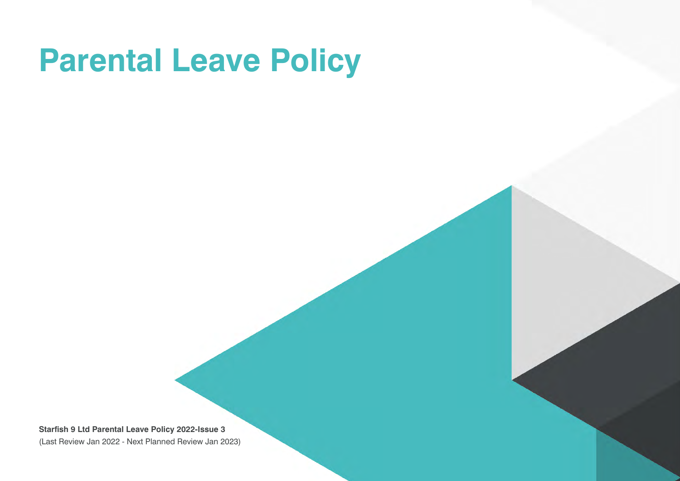# **Parental Leave Policy**

**Starfish 9 Ltd Parental Leave Policy 2022-Issue 3** (Last Review Jan 2022 - Next Planned Review Jan 2023)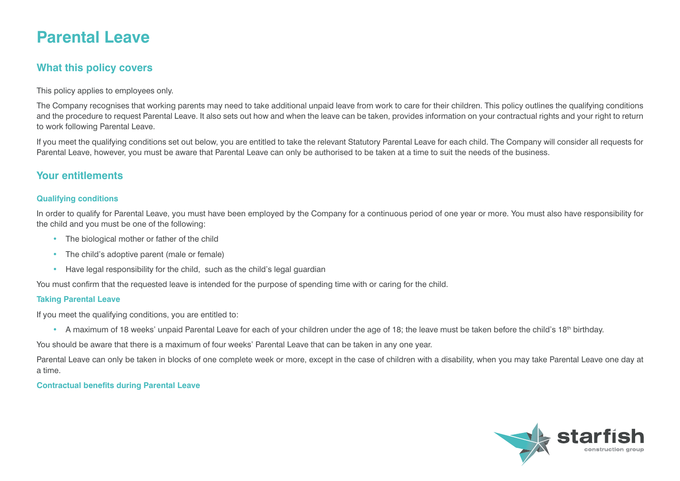# **Parental Leave**

# **What this policy covers**

This policy applies to employees only.

The Company recognises that working parents may need to take additional unpaid leave from work to care for their children. This policy outlines the qualifying conditions and the procedure to request Parental Leave. It also sets out how and when the leave can be taken, provides information on your contractual rights and your right to return to work following Parental Leave.

If you meet the qualifying conditions set out below, you are entitled to take the relevant Statutory Parental Leave for each child. The Company will consider all requests for Parental Leave, however, you must be aware that Parental Leave can only be authorised to be taken at a time to suit the needs of the business.

## **Your entitlements**

#### **Qualifying conditions**

In order to qualify for Parental Leave, you must have been employed by the Company for a continuous period of one year or more. You must also have responsibility for the child and you must be one of the following:

- The biological mother or father of the child
- The child's adoptive parent (male or female)
- Have legal responsibility for the child, such as the child's legal guardian

You must confirm that the requested leave is intended for the purpose of spending time with or caring for the child.

#### **Taking Parental Leave**

If you meet the qualifying conditions, you are entitled to:

• A maximum of 18 weeks' unpaid Parental Leave for each of your children under the age of 18; the leave must be taken before the child's 18<sup>th</sup> birthday.

You should be aware that there is a maximum of four weeks' Parental Leave that can be taken in any one year.

Parental Leave can only be taken in blocks of one complete week or more, except in the case of children with a disability, when you may take Parental Leave one day at a time.

#### **Contractual benefits during Parental Leave**